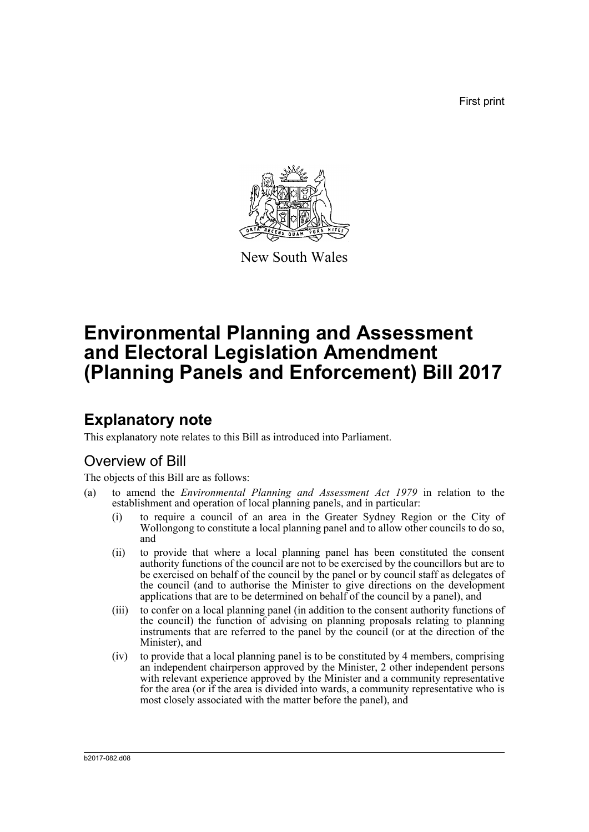First print



New South Wales

# **Environmental Planning and Assessment and Electoral Legislation Amendment (Planning Panels and Enforcement) Bill 2017**

# **Explanatory note**

This explanatory note relates to this Bill as introduced into Parliament.

# Overview of Bill

The objects of this Bill are as follows:

- (a) to amend the *Environmental Planning and Assessment Act 1979* in relation to the establishment and operation of local planning panels, and in particular:
	- (i) to require a council of an area in the Greater Sydney Region or the City of Wollongong to constitute a local planning panel and to allow other councils to do so, and
	- (ii) to provide that where a local planning panel has been constituted the consent authority functions of the council are not to be exercised by the councillors but are to be exercised on behalf of the council by the panel or by council staff as delegates of the council (and to authorise the Minister to give directions on the development applications that are to be determined on behalf of the council by a panel), and
	- (iii) to confer on a local planning panel (in addition to the consent authority functions of the council) the function of advising on planning proposals relating to planning instruments that are referred to the panel by the council (or at the direction of the Minister), and
	- (iv) to provide that a local planning panel is to be constituted by 4 members, comprising an independent chairperson approved by the Minister, 2 other independent persons with relevant experience approved by the Minister and a community representative for the area (or if the area is divided into wards, a community representative who is most closely associated with the matter before the panel), and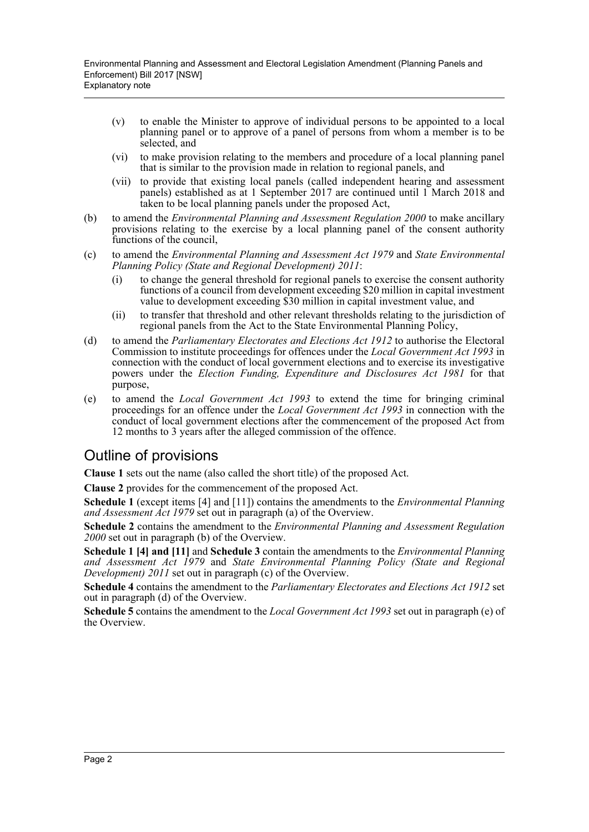- (v) to enable the Minister to approve of individual persons to be appointed to a local planning panel or to approve of a panel of persons from whom a member is to be selected, and
- (vi) to make provision relating to the members and procedure of a local planning panel that is similar to the provision made in relation to regional panels, and
- (vii) to provide that existing local panels (called independent hearing and assessment panels) established as at 1 September 2017 are continued until 1 March 2018 and taken to be local planning panels under the proposed Act,
- (b) to amend the *Environmental Planning and Assessment Regulation 2000* to make ancillary provisions relating to the exercise by a local planning panel of the consent authority functions of the council,
- (c) to amend the *Environmental Planning and Assessment Act 1979* and *State Environmental Planning Policy (State and Regional Development) 2011*:
	- (i) to change the general threshold for regional panels to exercise the consent authority functions of a council from development exceeding \$20 million in capital investment value to development exceeding \$30 million in capital investment value, and
	- (ii) to transfer that threshold and other relevant thresholds relating to the jurisdiction of regional panels from the Act to the State Environmental Planning Policy,
- (d) to amend the *Parliamentary Electorates and Elections Act 1912* to authorise the Electoral Commission to institute proceedings for offences under the *Local Government Act 1993* in connection with the conduct of local government elections and to exercise its investigative powers under the *Election Funding, Expenditure and Disclosures Act 1981* for that purpose,
- (e) to amend the *Local Government Act 1993* to extend the time for bringing criminal proceedings for an offence under the *Local Government Act 1993* in connection with the conduct of local government elections after the commencement of the proposed Act from 12 months to 3 years after the alleged commission of the offence.

# Outline of provisions

**Clause 1** sets out the name (also called the short title) of the proposed Act.

**Clause 2** provides for the commencement of the proposed Act.

**Schedule 1** (except items [4] and [11]) contains the amendments to the *Environmental Planning and Assessment Act 1979* set out in paragraph (a) of the Overview.

**Schedule 2** contains the amendment to the *Environmental Planning and Assessment Regulation 2000* set out in paragraph (b) of the Overview.

**Schedule 1 [4] and [11]** and **Schedule 3** contain the amendments to the *Environmental Planning and Assessment Act 1979* and *State Environmental Planning Policy (State and Regional Development) 2011* set out in paragraph (c) of the Overview.

**Schedule 4** contains the amendment to the *Parliamentary Electorates and Elections Act 1912* set out in paragraph (d) of the Overview.

**Schedule 5** contains the amendment to the *Local Government Act 1993* set out in paragraph (e) of the Overview.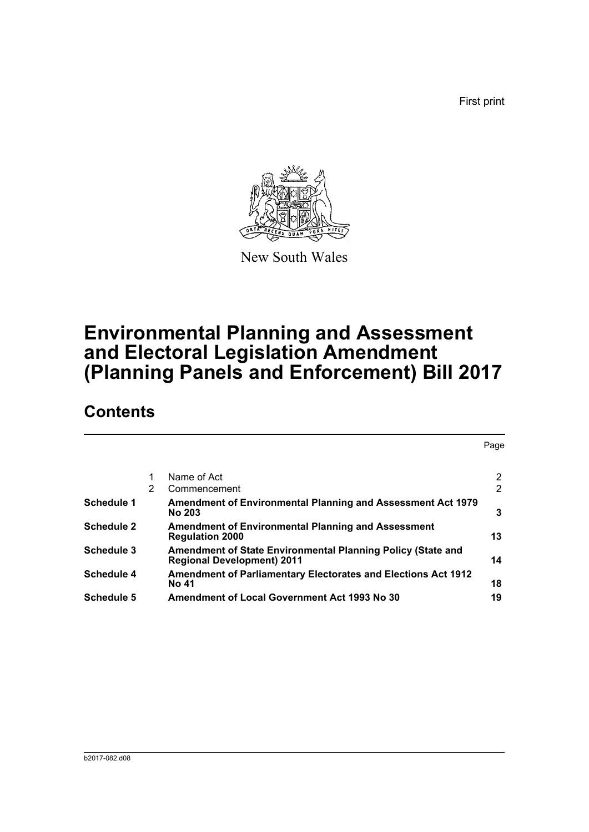First print



New South Wales

# **Environmental Planning and Assessment and Electoral Legislation Amendment (Planning Panels and Enforcement) Bill 2017**

# **Contents**

|                   |                |                                                                                                         | Page |
|-------------------|----------------|---------------------------------------------------------------------------------------------------------|------|
|                   | 1              | Name of Act                                                                                             | 2    |
|                   | $\overline{2}$ | Commencement                                                                                            | 2    |
| Schedule 1        |                | Amendment of Environmental Planning and Assessment Act 1979<br><b>No 203</b>                            | 3    |
| <b>Schedule 2</b> |                | <b>Amendment of Environmental Planning and Assessment</b><br><b>Regulation 2000</b>                     | 13   |
| <b>Schedule 3</b> |                | <b>Amendment of State Environmental Planning Policy (State and</b><br><b>Regional Development) 2011</b> | 14   |
| Schedule 4        |                | <b>Amendment of Parliamentary Electorates and Elections Act 1912</b><br>No 41                           | 18   |
| <b>Schedule 5</b> |                | <b>Amendment of Local Government Act 1993 No 30</b>                                                     | 19   |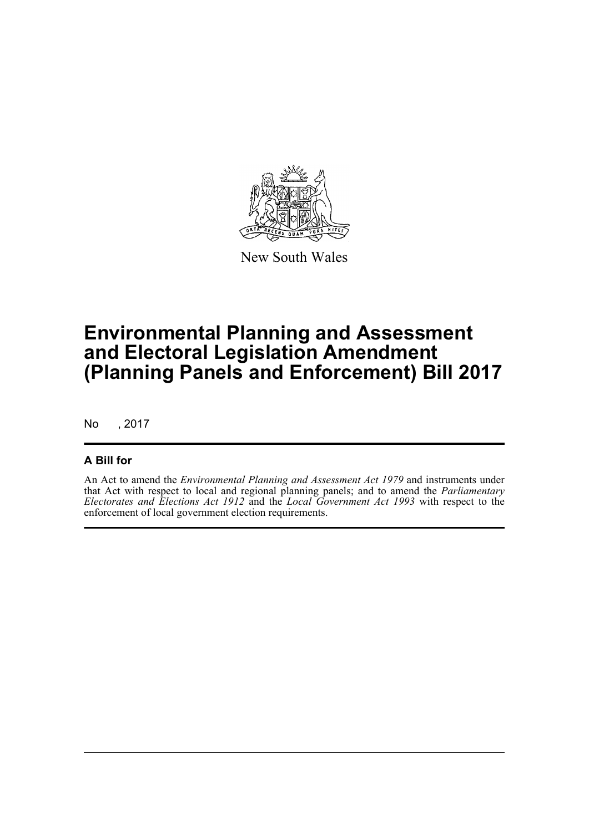

New South Wales

# **Environmental Planning and Assessment and Electoral Legislation Amendment (Planning Panels and Enforcement) Bill 2017**

No , 2017

## **A Bill for**

An Act to amend the *Environmental Planning and Assessment Act 1979* and instruments under that Act with respect to local and regional planning panels; and to amend the *Parliamentary Electorates and Elections Act 1912* and the *Local Government Act 1993* with respect to the enforcement of local government election requirements.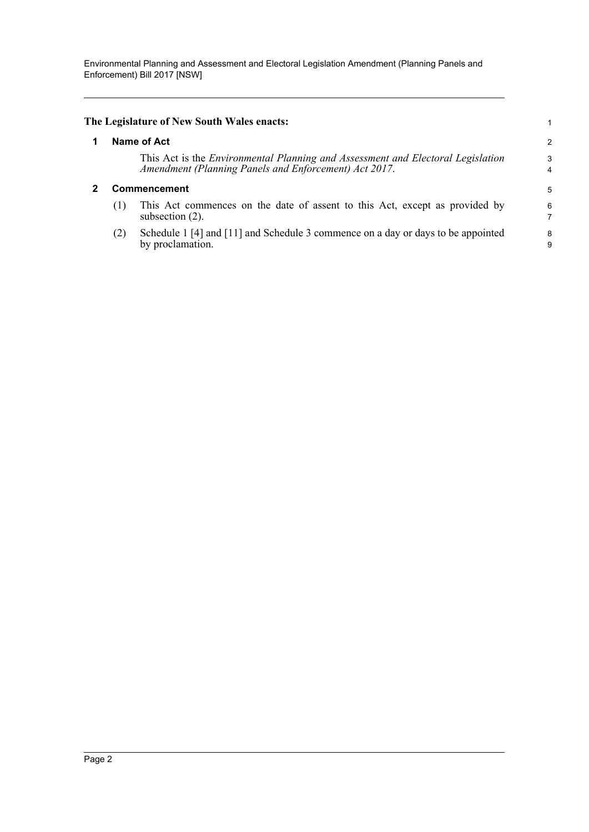Environmental Planning and Assessment and Electoral Legislation Amendment (Planning Panels and Enforcement) Bill 2017 [NSW]

<span id="page-4-1"></span><span id="page-4-0"></span>

|              | The Legislature of New South Wales enacts:                                                                                                      |        |
|--------------|-------------------------------------------------------------------------------------------------------------------------------------------------|--------|
|              | Name of Act                                                                                                                                     | 2      |
|              | This Act is the <i>Environmental Planning and Assessment and Electoral Legislation</i><br>Amendment (Planning Panels and Enforcement) Act 2017. | 3<br>4 |
| Commencement |                                                                                                                                                 |        |
| (1)          | This Act commences on the date of assent to this Act, except as provided by<br>subsection $(2)$ .                                               | 6      |
| (2)          | Schedule 1 [4] and [11] and Schedule 3 commence on a day or days to be appointed<br>by proclamation.                                            | 8<br>9 |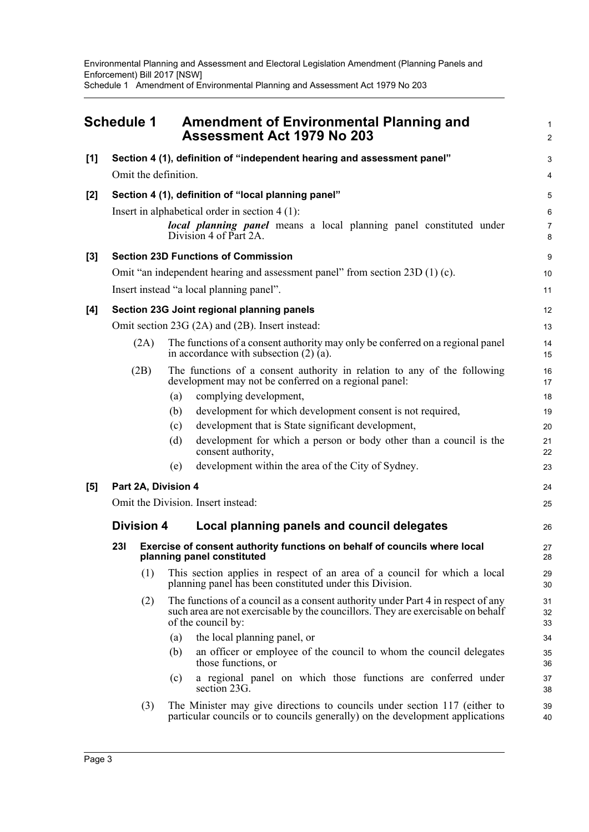<span id="page-5-0"></span>

|       | <b>Schedule 1</b> |                      | <b>Assessment Act 1979 No 203</b>                   | <b>Amendment of Environmental Planning and</b>                                                                                                                       | $\mathbf{1}$<br>$\overline{2}$ |
|-------|-------------------|----------------------|-----------------------------------------------------|----------------------------------------------------------------------------------------------------------------------------------------------------------------------|--------------------------------|
| [1]   |                   |                      |                                                     | Section 4 (1), definition of "independent hearing and assessment panel"                                                                                              | 3                              |
|       |                   | Omit the definition. |                                                     |                                                                                                                                                                      | 4                              |
| $[2]$ |                   |                      | Section 4 (1), definition of "local planning panel" |                                                                                                                                                                      | 5                              |
|       |                   |                      | Insert in alphabetical order in section $4(1)$ :    |                                                                                                                                                                      | 6                              |
|       |                   |                      | Division 4 of Part 2A.                              | local planning panel means a local planning panel constituted under                                                                                                  | $\overline{7}$<br>8            |
| $[3]$ |                   |                      | <b>Section 23D Functions of Commission</b>          |                                                                                                                                                                      | 9                              |
|       |                   |                      |                                                     | Omit "an independent hearing and assessment panel" from section 23D (1) (c).                                                                                         | 10                             |
|       |                   |                      | Insert instead "a local planning panel".            |                                                                                                                                                                      | 11                             |
| [4]   |                   |                      | Section 23G Joint regional planning panels          |                                                                                                                                                                      | 12                             |
|       |                   |                      | Omit section 23G (2A) and (2B). Insert instead:     |                                                                                                                                                                      | 13                             |
|       |                   | (2A)                 | in accordance with subsection $(2)$ $(a)$ .         | The functions of a consent authority may only be conferred on a regional panel                                                                                       | 14<br>15                       |
|       |                   | (2B)                 |                                                     | The functions of a consent authority in relation to any of the following<br>development may not be conferred on a regional panel:                                    | 16<br>17                       |
|       |                   |                      | complying development,<br>(a)                       |                                                                                                                                                                      | 18                             |
|       |                   |                      | (b)                                                 | development for which development consent is not required,                                                                                                           | 19                             |
|       |                   |                      | (c)                                                 | development that is State significant development,                                                                                                                   | 20                             |
|       |                   |                      | (d)<br>consent authority,                           | development for which a person or body other than a council is the                                                                                                   | 21<br>22                       |
|       |                   |                      | (e)                                                 | development within the area of the City of Sydney.                                                                                                                   | 23                             |
| [5]   |                   | Part 2A, Division 4  |                                                     |                                                                                                                                                                      | 24                             |
|       |                   |                      | Omit the Division. Insert instead:                  |                                                                                                                                                                      | 25                             |
|       |                   | <b>Division 4</b>    |                                                     | Local planning panels and council delegates                                                                                                                          | 26                             |
|       | <b>231</b>        |                      | planning panel constituted                          | Exercise of consent authority functions on behalf of councils where local                                                                                            | 27<br>28                       |
|       |                   | (1)                  |                                                     | This section applies in respect of an area of a council for which a local<br>planning panel has been constituted under this Division.                                | 29<br>30                       |
|       |                   | (2)                  | of the council by:                                  | The functions of a council as a consent authority under Part 4 in respect of any<br>such area are not exercisable by the councillors. They are exercisable on behalf | 31<br>32<br>33                 |
|       |                   |                      | the local planning panel, or<br>(a)                 |                                                                                                                                                                      | 34                             |
|       |                   |                      | (b)<br>those functions, or                          | an officer or employee of the council to whom the council delegates                                                                                                  | 35<br>36                       |
|       |                   |                      | (c)<br>section 23G.                                 | a regional panel on which those functions are conferred under                                                                                                        | 37<br>38                       |
|       |                   | (3)                  |                                                     | The Minister may give directions to councils under section 117 (either to<br>particular councils or to councils generally) on the development applications           | 39<br>40                       |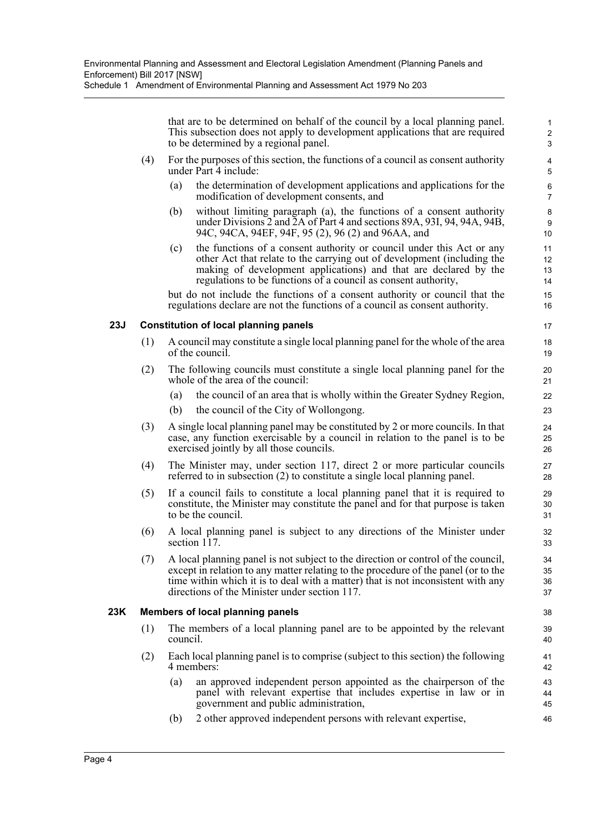Schedule 1 Amendment of Environmental Planning and Assessment Act 1979 No 203

that are to be determined on behalf of the council by a local planning panel. This subsection does not apply to development applications that are required to be determined by a regional panel.

- (4) For the purposes of this section, the functions of a council as consent authority under Part 4 include:
	- (a) the determination of development applications and applications for the modification of development consents, and
	- (b) without limiting paragraph (a), the functions of a consent authority under Divisions 2 and 2A of Part 4 and sections 89A, 93I, 94, 94A, 94B, 94C, 94CA, 94EF, 94F, 95 (2), 96 (2) and 96AA, and
	- (c) the functions of a consent authority or council under this Act or any other Act that relate to the carrying out of development (including the making of development applications) and that are declared by the regulations to be functions of a council as consent authority,

but do not include the functions of a consent authority or council that the regulations declare are not the functions of a council as consent authority.

### **23J Constitution of local planning panels**

- (1) A council may constitute a single local planning panel for the whole of the area of the council.
- (2) The following councils must constitute a single local planning panel for the whole of the area of the council:
	- (a) the council of an area that is wholly within the Greater Sydney Region,
	- (b) the council of the City of Wollongong.
- (3) A single local planning panel may be constituted by 2 or more councils. In that case, any function exercisable by a council in relation to the panel is to be exercised jointly by all those councils.
- (4) The Minister may, under section 117, direct 2 or more particular councils referred to in subsection (2) to constitute a single local planning panel.
- (5) If a council fails to constitute a local planning panel that it is required to constitute, the Minister may constitute the panel and for that purpose is taken to be the council.
- (6) A local planning panel is subject to any directions of the Minister under section 117.
- (7) A local planning panel is not subject to the direction or control of the council, except in relation to any matter relating to the procedure of the panel (or to the time within which it is to deal with a matter) that is not inconsistent with any directions of the Minister under section 117.

#### **23K Members of local planning panels**

- (1) The members of a local planning panel are to be appointed by the relevant council.
- (2) Each local planning panel is to comprise (subject to this section) the following 4 members:
	- (a) an approved independent person appointed as the chairperson of the panel with relevant expertise that includes expertise in law or in government and public administration,
	- (b) 2 other approved independent persons with relevant expertise,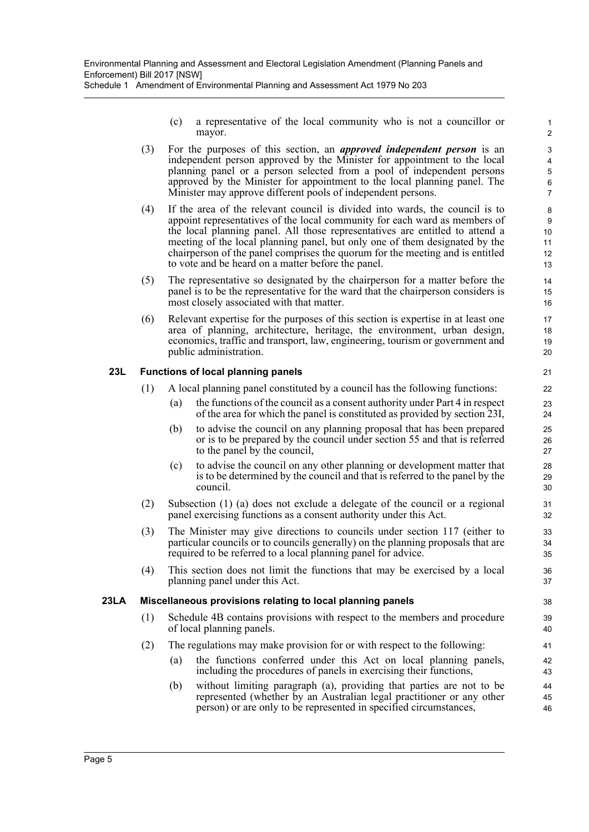(c) a representative of the local community who is not a councillor or mayor.

- (3) For the purposes of this section, an *approved independent person* is an independent person approved by the Minister for appointment to the local planning panel or a person selected from a pool of independent persons approved by the Minister for appointment to the local planning panel. The Minister may approve different pools of independent persons.
- (4) If the area of the relevant council is divided into wards, the council is to appoint representatives of the local community for each ward as members of the local planning panel. All those representatives are entitled to attend a meeting of the local planning panel, but only one of them designated by the chairperson of the panel comprises the quorum for the meeting and is entitled to vote and be heard on a matter before the panel.
- (5) The representative so designated by the chairperson for a matter before the panel is to be the representative for the ward that the chairperson considers is most closely associated with that matter.
- (6) Relevant expertise for the purposes of this section is expertise in at least one area of planning, architecture, heritage, the environment, urban design, economics, traffic and transport, law, engineering, tourism or government and public administration.

## **23L Functions of local planning panels**

- (1) A local planning panel constituted by a council has the following functions:
	- (a) the functions of the council as a consent authority under Part 4 in respect of the area for which the panel is constituted as provided by section 23I,
	- (b) to advise the council on any planning proposal that has been prepared or is to be prepared by the council under section 55 and that is referred to the panel by the council,
	- (c) to advise the council on any other planning or development matter that is to be determined by the council and that is referred to the panel by the council.
- (2) Subsection (1) (a) does not exclude a delegate of the council or a regional panel exercising functions as a consent authority under this Act.
- (3) The Minister may give directions to councils under section 117 (either to particular councils or to councils generally) on the planning proposals that are required to be referred to a local planning panel for advice.
- (4) This section does not limit the functions that may be exercised by a local planning panel under this Act.

### **23LA Miscellaneous provisions relating to local planning panels**

- (1) Schedule 4B contains provisions with respect to the members and procedure of local planning panels.
- (2) The regulations may make provision for or with respect to the following:
	- (a) the functions conferred under this Act on local planning panels, including the procedures of panels in exercising their functions,
	- (b) without limiting paragraph (a), providing that parties are not to be represented (whether by an Australian legal practitioner or any other person) or are only to be represented in specified circumstances,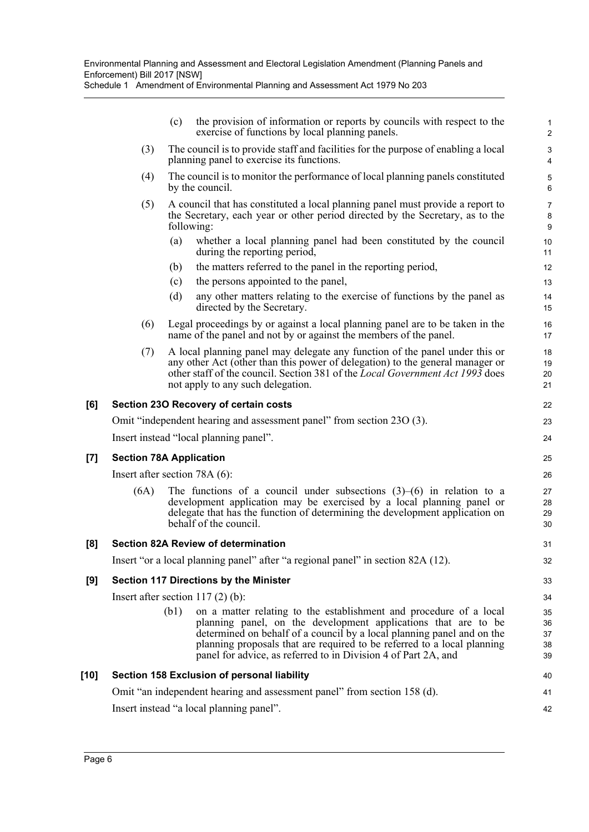Schedule 1 Amendment of Environmental Planning and Assessment Act 1979 No 203

|      |                                 | (c)        | the provision of information or reports by councils with respect to the<br>exercise of functions by local planning panels.                                                                                                                                                                                                                                  | 1<br>$\overline{c}$           |
|------|---------------------------------|------------|-------------------------------------------------------------------------------------------------------------------------------------------------------------------------------------------------------------------------------------------------------------------------------------------------------------------------------------------------------------|-------------------------------|
|      | (3)                             |            | The council is to provide staff and facilities for the purpose of enabling a local<br>planning panel to exercise its functions.                                                                                                                                                                                                                             | $\mathsf 3$<br>$\overline{4}$ |
|      | (4)                             |            | The council is to monitor the performance of local planning panels constituted<br>by the council.                                                                                                                                                                                                                                                           | 5<br>6                        |
|      | (5)                             | following: | A council that has constituted a local planning panel must provide a report to<br>the Secretary, each year or other period directed by the Secretary, as to the                                                                                                                                                                                             | $\overline{7}$<br>8<br>$9\,$  |
|      |                                 | (a)        | whether a local planning panel had been constituted by the council<br>during the reporting period,                                                                                                                                                                                                                                                          | 10<br>11                      |
|      |                                 | (b)        | the matters referred to the panel in the reporting period,                                                                                                                                                                                                                                                                                                  | 12                            |
|      |                                 | (c)        | the persons appointed to the panel,                                                                                                                                                                                                                                                                                                                         | 13                            |
|      |                                 | (d)        | any other matters relating to the exercise of functions by the panel as<br>directed by the Secretary.                                                                                                                                                                                                                                                       | 14<br>15                      |
|      | (6)                             |            | Legal proceedings by or against a local planning panel are to be taken in the<br>name of the panel and not by or against the members of the panel.                                                                                                                                                                                                          | 16<br>17                      |
|      | (7)                             |            | A local planning panel may delegate any function of the panel under this or<br>any other Act (other than this power of delegation) to the general manager or<br>other staff of the council. Section 381 of the Local Government Act 1993 does<br>not apply to any such delegation.                                                                          | 18<br>19<br>20<br>21          |
| [6]  |                                 |            | Section 230 Recovery of certain costs                                                                                                                                                                                                                                                                                                                       | 22                            |
|      |                                 |            | Omit "independent hearing and assessment panel" from section 23O (3).                                                                                                                                                                                                                                                                                       | 23                            |
|      |                                 |            | Insert instead "local planning panel".                                                                                                                                                                                                                                                                                                                      | 24                            |
| [7]  | <b>Section 78A Application</b>  |            |                                                                                                                                                                                                                                                                                                                                                             | 25                            |
|      | Insert after section $78A(6)$ : |            |                                                                                                                                                                                                                                                                                                                                                             | 26                            |
|      | (6A)                            |            | The functions of a council under subsections $(3)$ – $(6)$ in relation to a<br>development application may be exercised by a local planning panel or<br>delegate that has the function of determining the development application on<br>behalf of the council.                                                                                              | 27<br>28<br>29<br>30          |
| [8]  |                                 |            | <b>Section 82A Review of determination</b>                                                                                                                                                                                                                                                                                                                  | 31                            |
|      |                                 |            | Insert "or a local planning panel" after "a regional panel" in section 82A (12).                                                                                                                                                                                                                                                                            | 32                            |
| [9]  |                                 |            | Section 117 Directions by the Minister                                                                                                                                                                                                                                                                                                                      | 33                            |
|      |                                 |            | Insert after section $117(2)$ (b):                                                                                                                                                                                                                                                                                                                          | 34                            |
|      |                                 | (b1)       | on a matter relating to the establishment and procedure of a local<br>planning panel, on the development applications that are to be<br>determined on behalf of a council by a local planning panel and on the<br>planning proposals that are required to be referred to a local planning<br>panel for advice, as referred to in Division 4 of Part 2A, and | 35<br>36<br>37<br>38<br>39    |
| [10] |                                 |            | Section 158 Exclusion of personal liability                                                                                                                                                                                                                                                                                                                 | 40                            |
|      |                                 |            | Omit "an independent hearing and assessment panel" from section 158 (d).                                                                                                                                                                                                                                                                                    | 41                            |

42

Omit "an independent hearing and assessment panel" from section 158 (d).

Insert instead "a local planning panel".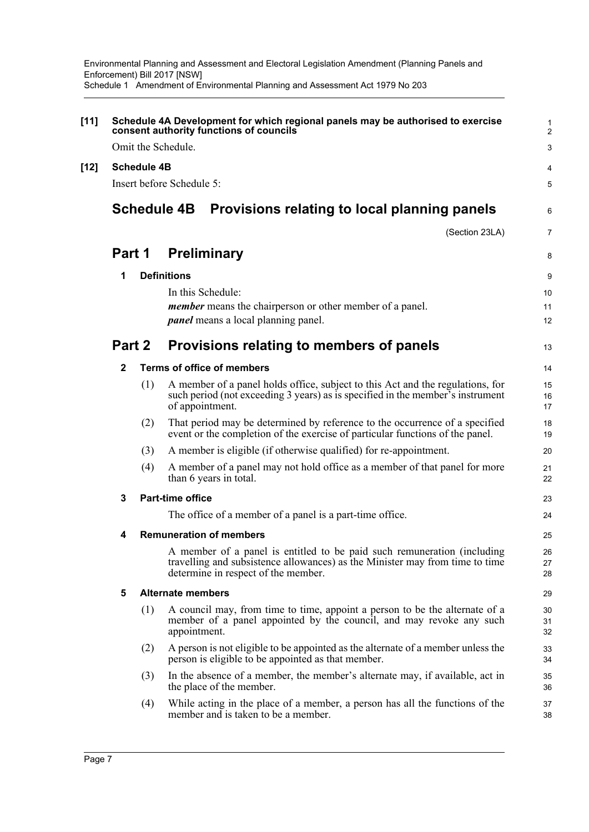| $[11]$ |             |                    | Schedule 4A Development for which regional panels may be authorised to exercise<br>consent authority functions of councils                                                                     | 1<br>$\overline{2}$     |
|--------|-------------|--------------------|------------------------------------------------------------------------------------------------------------------------------------------------------------------------------------------------|-------------------------|
|        |             |                    | Omit the Schedule.                                                                                                                                                                             | 3                       |
| $[12]$ |             | <b>Schedule 4B</b> |                                                                                                                                                                                                | 4                       |
|        |             |                    | Insert before Schedule 5:                                                                                                                                                                      | 5                       |
|        |             |                    | <b>Schedule 4B</b><br>Provisions relating to local planning panels                                                                                                                             | 6                       |
|        | Part 1<br>1 |                    | (Section 23LA)                                                                                                                                                                                 | $\overline{7}$          |
|        |             |                    | <b>Preliminary</b>                                                                                                                                                                             | 8                       |
|        |             |                    | <b>Definitions</b>                                                                                                                                                                             | 9                       |
|        |             |                    | In this Schedule:                                                                                                                                                                              | 10                      |
|        |             |                    | <i>member</i> means the chairperson or other member of a panel.<br><i>panel</i> means a local planning panel.                                                                                  | 11<br>$12 \overline{ }$ |
|        | Part 2      |                    | Provisions relating to members of panels                                                                                                                                                       | 13                      |
|        | 2           |                    | <b>Terms of office of members</b>                                                                                                                                                              | 14                      |
|        |             | (1)                | A member of a panel holds office, subject to this Act and the regulations, for<br>such period (not exceeding 3 years) as is specified in the member's instrument<br>of appointment.            | 15<br>16<br>17          |
|        |             | (2)                | That period may be determined by reference to the occurrence of a specified<br>event or the completion of the exercise of particular functions of the panel.                                   | 18<br>19                |
|        |             | (3)                | A member is eligible (if otherwise qualified) for re-appointment.                                                                                                                              | 20                      |
|        |             | (4)                | A member of a panel may not hold office as a member of that panel for more<br>than 6 years in total.                                                                                           | 21<br>22                |
|        | 3           |                    | <b>Part-time office</b>                                                                                                                                                                        | 23                      |
|        |             |                    | The office of a member of a panel is a part-time office.                                                                                                                                       | 24                      |
|        | 4           |                    | <b>Remuneration of members</b>                                                                                                                                                                 | 25                      |
|        |             |                    | A member of a panel is entitled to be paid such remuneration (including<br>travelling and subsistence allowances) as the Minister may from time to time<br>determine in respect of the member. | 26<br>27<br>28          |
|        | 5           |                    | <b>Alternate members</b>                                                                                                                                                                       | 29                      |
|        |             | (1)                | A council may, from time to time, appoint a person to be the alternate of a<br>member of a panel appointed by the council, and may revoke any such<br>appointment.                             | 30<br>31<br>32          |
|        |             | (2)                | A person is not eligible to be appointed as the alternate of a member unless the<br>person is eligible to be appointed as that member.                                                         | 33<br>34                |
|        |             | (3)                | In the absence of a member, the member's alternate may, if available, act in<br>the place of the member.                                                                                       | 35<br>36                |
|        |             | (4)                | While acting in the place of a member, a person has all the functions of the<br>member and is taken to be a member.                                                                            | 37<br>38                |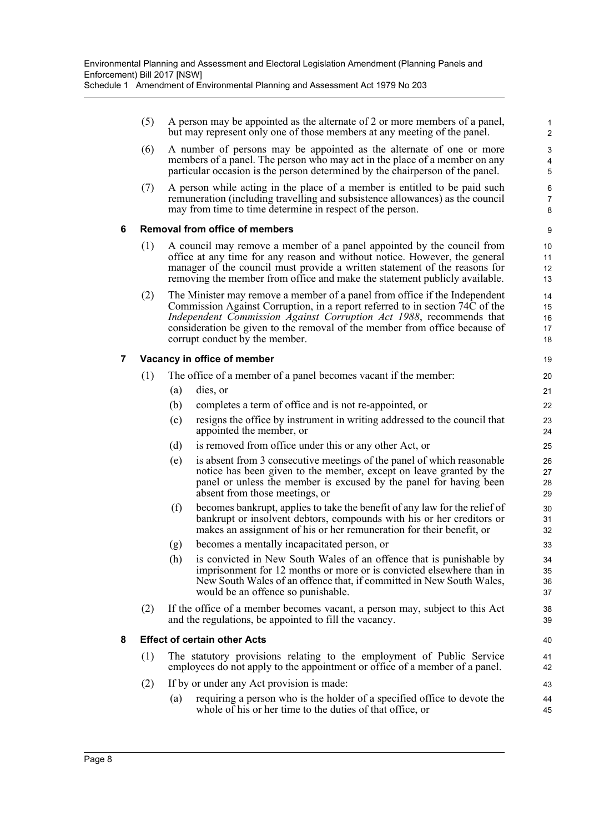|   | (5) |     | A person may be appointed as the alternate of 2 or more members of a panel,<br>but may represent only one of those members at any meeting of the panel.                                                                                                                                                                                           | $\mathbf{1}$<br>$\overline{2}$ |
|---|-----|-----|---------------------------------------------------------------------------------------------------------------------------------------------------------------------------------------------------------------------------------------------------------------------------------------------------------------------------------------------------|--------------------------------|
|   | (6) |     | A number of persons may be appointed as the alternate of one or more<br>members of a panel. The person who may act in the place of a member on any<br>particular occasion is the person determined by the chairperson of the panel.                                                                                                               | 3<br>4<br>5                    |
|   | (7) |     | A person while acting in the place of a member is entitled to be paid such<br>remuneration (including travelling and subsistence allowances) as the council<br>may from time to time determine in respect of the person.                                                                                                                          | 6<br>7<br>8                    |
| 6 |     |     | <b>Removal from office of members</b>                                                                                                                                                                                                                                                                                                             | 9                              |
|   | (1) |     | A council may remove a member of a panel appointed by the council from<br>office at any time for any reason and without notice. However, the general<br>manager of the council must provide a written statement of the reasons for<br>removing the member from office and make the statement publicly available.                                  | 10<br>11<br>12<br>13           |
|   | (2) |     | The Minister may remove a member of a panel from office if the Independent<br>Commission Against Corruption, in a report referred to in section 74C of the<br>Independent Commission Against Corruption Act 1988, recommends that<br>consideration be given to the removal of the member from office because of<br>corrupt conduct by the member. | 14<br>15<br>16<br>17<br>18     |
| 7 |     |     | Vacancy in office of member                                                                                                                                                                                                                                                                                                                       | 19                             |
|   | (1) |     | The office of a member of a panel becomes vacant if the member:                                                                                                                                                                                                                                                                                   | 20                             |
|   |     | (a) | dies, or                                                                                                                                                                                                                                                                                                                                          | 21                             |
|   |     | (b) | completes a term of office and is not re-appointed, or                                                                                                                                                                                                                                                                                            | 22                             |
|   |     | (c) | resigns the office by instrument in writing addressed to the council that<br>appointed the member, or                                                                                                                                                                                                                                             | 23<br>24                       |
|   |     | (d) | is removed from office under this or any other Act, or                                                                                                                                                                                                                                                                                            | 25                             |
|   |     | (e) | is absent from 3 consecutive meetings of the panel of which reasonable<br>notice has been given to the member, except on leave granted by the<br>panel or unless the member is excused by the panel for having been<br>absent from those meetings, or                                                                                             | 26<br>27<br>28<br>29           |
|   |     | (f) | becomes bankrupt, applies to take the benefit of any law for the relief of<br>bankrupt or insolvent debtors, compounds with his or her creditors or<br>makes an assignment of his or her remuneration for their benefit, or                                                                                                                       | 30<br>31<br>32                 |
|   |     | (g) | becomes a mentally incapacitated person, or                                                                                                                                                                                                                                                                                                       | 33                             |
|   |     | (h) | is convicted in New South Wales of an offence that is punishable by<br>imprisonment for 12 months or more or is convicted elsewhere than in<br>New South Wales of an offence that, if committed in New South Wales,<br>would be an offence so punishable.                                                                                         | 34<br>35<br>36<br>37           |
|   | (2) |     | If the office of a member becomes vacant, a person may, subject to this Act<br>and the regulations, be appointed to fill the vacancy.                                                                                                                                                                                                             | 38<br>39                       |
| 8 |     |     | <b>Effect of certain other Acts</b>                                                                                                                                                                                                                                                                                                               | 40                             |
|   | (1) |     | The statutory provisions relating to the employment of Public Service<br>employees do not apply to the appointment or office of a member of a panel.                                                                                                                                                                                              | 41<br>42                       |
|   | (2) |     | If by or under any Act provision is made:                                                                                                                                                                                                                                                                                                         | 43                             |
|   |     | (a) | requiring a person who is the holder of a specified office to devote the<br>whole of his or her time to the duties of that office, or                                                                                                                                                                                                             | 44<br>45                       |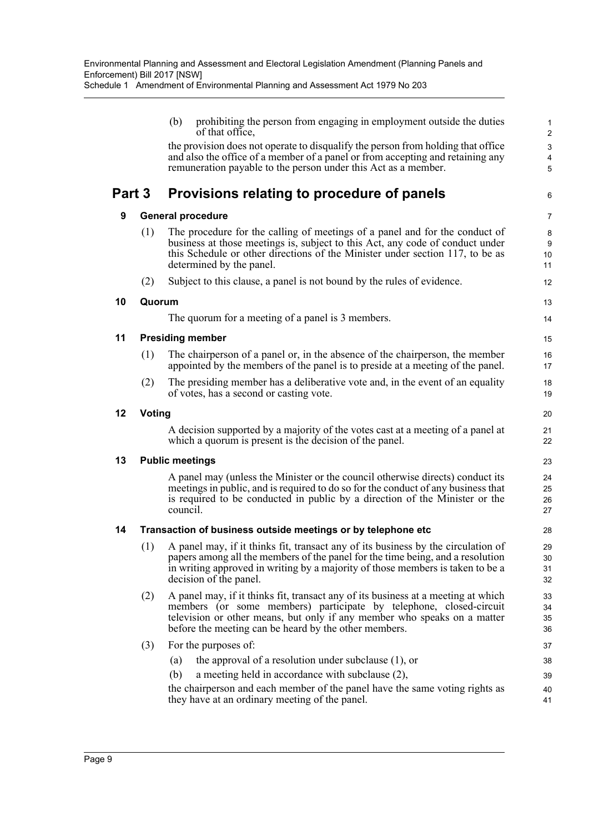|        |        | (b)      | prohibiting the person from engaging in employment outside the duties<br>of that office,                                                                            | $\mathbf{1}$<br>$\overline{2}$ |
|--------|--------|----------|---------------------------------------------------------------------------------------------------------------------------------------------------------------------|--------------------------------|
|        |        |          | the provision does not operate to disqualify the person from holding that office                                                                                    | $\mathsf 3$                    |
|        |        |          | and also the office of a member of a panel or from accepting and retaining any                                                                                      | $\overline{\mathbf{4}}$        |
|        |        |          | remuneration payable to the person under this Act as a member.                                                                                                      | 5                              |
| Part 3 |        |          | Provisions relating to procedure of panels                                                                                                                          | 6                              |
| 9      |        |          | <b>General procedure</b>                                                                                                                                            | $\overline{7}$                 |
|        | (1)    |          | The procedure for the calling of meetings of a panel and for the conduct of                                                                                         | 8                              |
|        |        |          | business at those meetings is, subject to this Act, any code of conduct under<br>this Schedule or other directions of the Minister under section 117, to be as      | 9                              |
|        |        |          | determined by the panel.                                                                                                                                            | 10<br>11                       |
|        | (2)    |          | Subject to this clause, a panel is not bound by the rules of evidence.                                                                                              | 12                             |
|        |        |          |                                                                                                                                                                     |                                |
| 10     | Quorum |          |                                                                                                                                                                     | 13                             |
|        |        |          | The quorum for a meeting of a panel is 3 members.                                                                                                                   | 14                             |
| 11     |        |          | <b>Presiding member</b>                                                                                                                                             | 15                             |
|        | (1)    |          | The chairperson of a panel or, in the absence of the chairperson, the member                                                                                        | 16                             |
|        |        |          | appointed by the members of the panel is to preside at a meeting of the panel.                                                                                      | 17                             |
|        | (2)    |          | The presiding member has a deliberative vote and, in the event of an equality                                                                                       | 18                             |
|        |        |          | of votes, has a second or casting vote.                                                                                                                             | 19                             |
| 12     | Voting |          |                                                                                                                                                                     | 20                             |
|        |        |          | A decision supported by a majority of the votes cast at a meeting of a panel at                                                                                     | 21                             |
|        |        |          | which a quorum is present is the decision of the panel.                                                                                                             | 22                             |
| 13     |        |          | <b>Public meetings</b>                                                                                                                                              | 23                             |
|        |        |          | A panel may (unless the Minister or the council otherwise directs) conduct its                                                                                      | 24                             |
|        |        |          | meetings in public, and is required to do so for the conduct of any business that<br>is required to be conducted in public by a direction of the Minister or the    | 25                             |
|        |        | council. |                                                                                                                                                                     | 26<br>27                       |
| 14     |        |          | Transaction of business outside meetings or by telephone etc                                                                                                        | 28                             |
|        |        |          |                                                                                                                                                                     |                                |
|        | (1)    |          | A panel may, if it thinks fit, transact any of its business by the circulation of<br>papers among all the members of the panel for the time being, and a resolution | 29<br>30                       |
|        |        |          | in writing approved in writing by a majority of those members is taken to be a                                                                                      | 31                             |
|        |        |          | decision of the panel.                                                                                                                                              | 32                             |
|        | (2)    |          | A panel may, if it thinks fit, transact any of its business at a meeting at which                                                                                   | 33                             |
|        |        |          | members (or some members) participate by telephone, closed-circuit                                                                                                  | 34                             |
|        |        |          | television or other means, but only if any member who speaks on a matter<br>before the meeting can be heard by the other members.                                   | 35<br>36                       |
|        | (3)    |          | For the purposes of:                                                                                                                                                | 37                             |
|        |        | (a)      | the approval of a resolution under subclause $(1)$ , or                                                                                                             | 38                             |
|        |        | (b)      | a meeting held in accordance with subclause (2),                                                                                                                    | 39                             |
|        |        |          | the chairperson and each member of the panel have the same voting rights as                                                                                         | 40                             |
|        |        |          | they have at an ordinary meeting of the panel.                                                                                                                      | 41                             |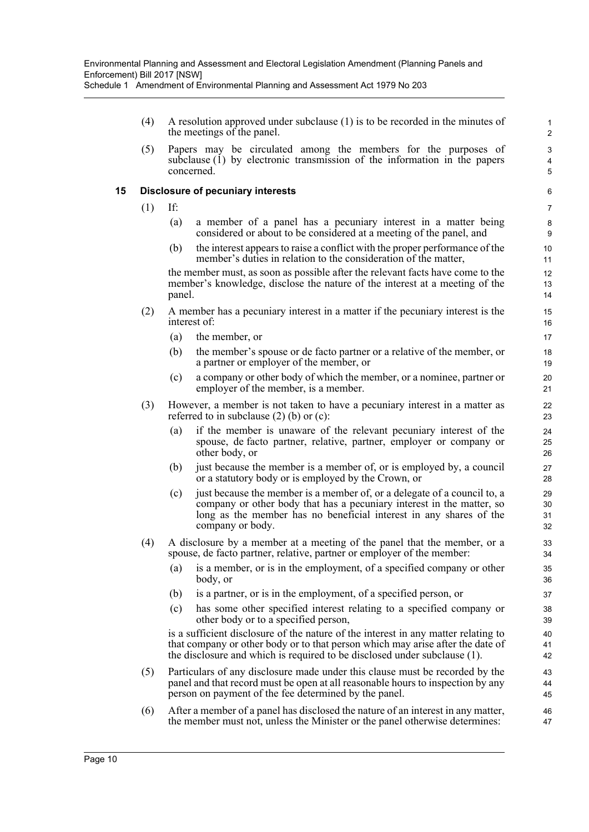(4) A resolution approved under subclause (1) is to be recorded in the minutes of the meetings of the panel.

(5) Papers may be circulated among the members for the purposes of subclause (1) by electronic transmission of the information in the papers concerned.

### **15 Disclosure of pecuniary interests**

- (1) If:
	- (a) a member of a panel has a pecuniary interest in a matter being considered or about to be considered at a meeting of the panel, and
	- (b) the interest appears to raise a conflict with the proper performance of the member's duties in relation to the consideration of the matter,

the member must, as soon as possible after the relevant facts have come to the member's knowledge, disclose the nature of the interest at a meeting of the panel.

- (2) A member has a pecuniary interest in a matter if the pecuniary interest is the interest of:
	- (a) the member, or
	- (b) the member's spouse or de facto partner or a relative of the member, or a partner or employer of the member, or
	- (c) a company or other body of which the member, or a nominee, partner or employer of the member, is a member.
- (3) However, a member is not taken to have a pecuniary interest in a matter as referred to in subclause  $(2)$  (b) or  $(c)$ :
	- (a) if the member is unaware of the relevant pecuniary interest of the spouse, de facto partner, relative, partner, employer or company or other body, or
	- (b) just because the member is a member of, or is employed by, a council or a statutory body or is employed by the Crown, or
	- (c) just because the member is a member of, or a delegate of a council to, a company or other body that has a pecuniary interest in the matter, so long as the member has no beneficial interest in any shares of the company or body.
- (4) A disclosure by a member at a meeting of the panel that the member, or a spouse, de facto partner, relative, partner or employer of the member:
	- (a) is a member, or is in the employment, of a specified company or other body, or
	- (b) is a partner, or is in the employment, of a specified person, or
	- (c) has some other specified interest relating to a specified company or other body or to a specified person,

is a sufficient disclosure of the nature of the interest in any matter relating to that company or other body or to that person which may arise after the date of the disclosure and which is required to be disclosed under subclause (1).

- (5) Particulars of any disclosure made under this clause must be recorded by the panel and that record must be open at all reasonable hours to inspection by any person on payment of the fee determined by the panel.
- (6) After a member of a panel has disclosed the nature of an interest in any matter, the member must not, unless the Minister or the panel otherwise determines: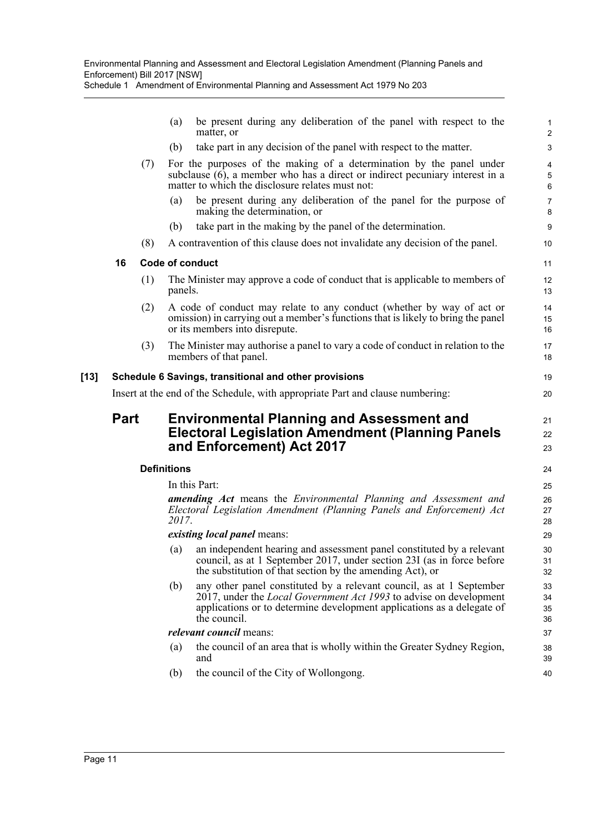Schedule 1 Amendment of Environmental Planning and Assessment Act 1979 No 203

|      |             |     | (a)                | be present during any deliberation of the panel with respect to the<br>matter, or                                                                                                                                                           | $\mathbf{1}$<br>$\overline{c}$ |
|------|-------------|-----|--------------------|---------------------------------------------------------------------------------------------------------------------------------------------------------------------------------------------------------------------------------------------|--------------------------------|
|      |             |     | (b)                | take part in any decision of the panel with respect to the matter.                                                                                                                                                                          | $\mathsf 3$                    |
|      |             | (7) |                    | For the purposes of the making of a determination by the panel under<br>subclause $(6)$ , a member who has a direct or indirect pecuniary interest in a<br>matter to which the disclosure relates must not:                                 | 4<br>5<br>6                    |
|      |             |     | (a)                | be present during any deliberation of the panel for the purpose of<br>making the determination, or                                                                                                                                          | $\overline{7}$<br>8            |
|      |             |     | (b)                | take part in the making by the panel of the determination.                                                                                                                                                                                  | $\boldsymbol{9}$               |
|      |             | (8) |                    | A contravention of this clause does not invalidate any decision of the panel.                                                                                                                                                               | 10                             |
|      | 16          |     |                    | Code of conduct                                                                                                                                                                                                                             | 11                             |
|      |             | (1) | panels.            | The Minister may approve a code of conduct that is applicable to members of                                                                                                                                                                 | 12<br>13                       |
|      |             | (2) |                    | A code of conduct may relate to any conduct (whether by way of act or<br>omission) in carrying out a member's functions that is likely to bring the panel<br>or its members into disrepute.                                                 | 14<br>15<br>16                 |
|      |             | (3) |                    | The Minister may authorise a panel to vary a code of conduct in relation to the<br>members of that panel.                                                                                                                                   | 17<br>18                       |
| [13] |             |     |                    | Schedule 6 Savings, transitional and other provisions                                                                                                                                                                                       | 19                             |
|      |             |     |                    | Insert at the end of the Schedule, with appropriate Part and clause numbering:                                                                                                                                                              | 20                             |
|      | <b>Part</b> |     |                    | <b>Environmental Planning and Assessment and</b><br><b>Electoral Legislation Amendment (Planning Panels</b><br>and Enforcement) Act 2017                                                                                                    | 21<br>22<br>23                 |
|      |             |     | <b>Definitions</b> |                                                                                                                                                                                                                                             | 24                             |
|      |             |     |                    | In this Part:                                                                                                                                                                                                                               | 25                             |
|      |             |     | 2017.              | <b>amending Act</b> means the <i>Environmental Planning and Assessment and</i><br>Electoral Legislation Amendment (Planning Panels and Enforcement) Act                                                                                     | 26<br>27<br>28                 |
|      |             |     |                    | <i>existing local panel means:</i>                                                                                                                                                                                                          | 29                             |
|      |             |     |                    | (a) an independent hearing and assessment panel constituted by a relevant<br>council, as at 1 September 2017, under section 23I (as in force before<br>the substitution of that section by the amending Act), or                            | $30\,$<br>31<br>32             |
|      |             |     | (b)                | any other panel constituted by a relevant council, as at 1 September<br>2017, under the <i>Local Government Act 1993</i> to advise on development<br>applications or to determine development applications as a delegate of<br>the council. | 33<br>34<br>35<br>36           |
|      |             |     |                    | <i>relevant council</i> means:                                                                                                                                                                                                              | 37                             |
|      |             |     | (a)                | the council of an area that is wholly within the Greater Sydney Region,<br>and                                                                                                                                                              | 38<br>39                       |
|      |             |     | (b)                | the council of the City of Wollongong.                                                                                                                                                                                                      | 40                             |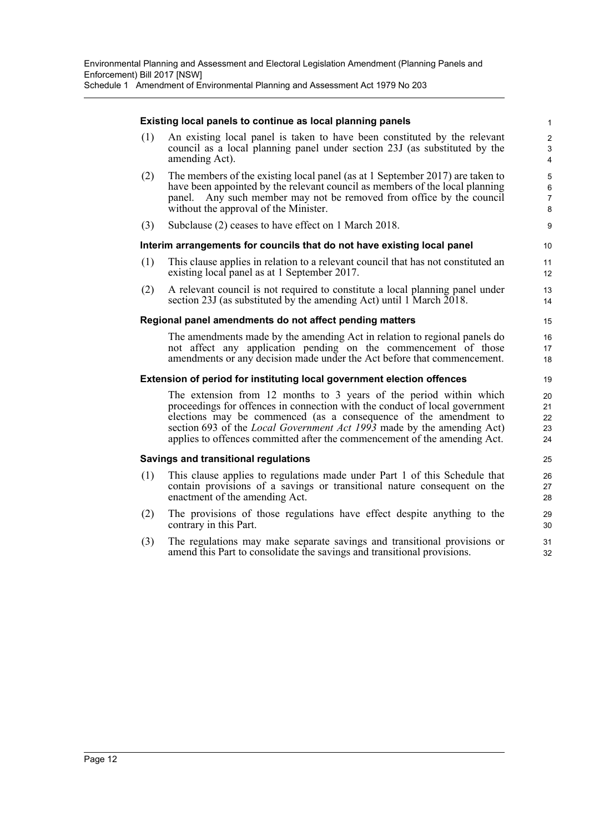#### **Existing local panels to continue as local planning panels**

(1) An existing local panel is taken to have been constituted by the relevant council as a local planning panel under section 23J (as substituted by the amending Act).

- (2) The members of the existing local panel (as at 1 September 2017) are taken to have been appointed by the relevant council as members of the local planning panel. Any such member may not be removed from office by the council without the approval of the Minister.
- (3) Subclause (2) ceases to have effect on 1 March 2018.

#### **Interim arrangements for councils that do not have existing local panel**

- (1) This clause applies in relation to a relevant council that has not constituted an existing local panel as at 1 September 2017.
- (2) A relevant council is not required to constitute a local planning panel under section 23J (as substituted by the amending Act) until 1 March  $\overline{2018}$ .

#### **Regional panel amendments do not affect pending matters**

The amendments made by the amending Act in relation to regional panels do not affect any application pending on the commencement of those amendments or any decision made under the Act before that commencement.

#### **Extension of period for instituting local government election offences**

The extension from 12 months to 3 years of the period within which proceedings for offences in connection with the conduct of local government elections may be commenced (as a consequence of the amendment to section 693 of the *Local Government Act 1993* made by the amending Act) applies to offences committed after the commencement of the amending Act.

#### **Savings and transitional regulations**

- (1) This clause applies to regulations made under Part 1 of this Schedule that contain provisions of a savings or transitional nature consequent on the enactment of the amending Act.
- (2) The provisions of those regulations have effect despite anything to the contrary in this Part.
- (3) The regulations may make separate savings and transitional provisions or amend this Part to consolidate the savings and transitional provisions.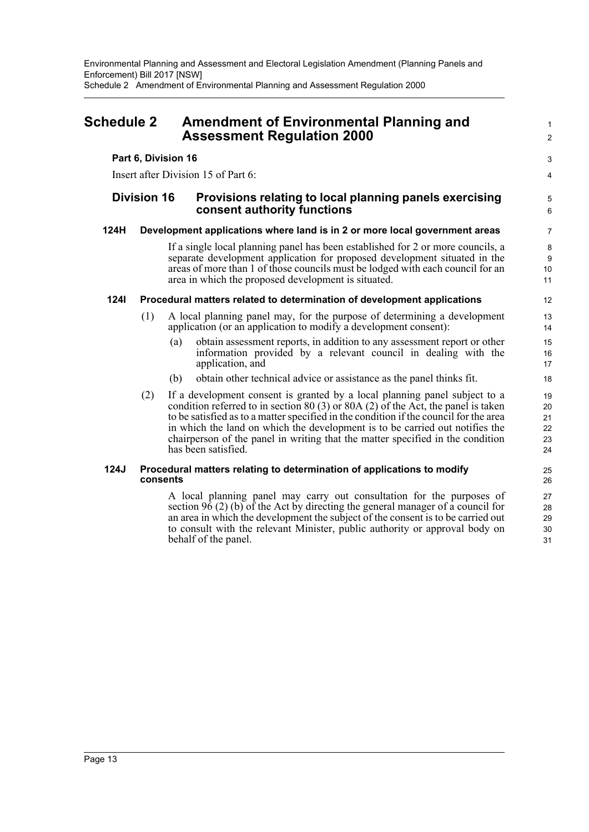## <span id="page-15-0"></span>**Schedule 2 Amendment of Environmental Planning and Assessment Regulation 2000**

### **Part 6, Division 16**

Insert after Division 15 of Part 6:

## **Division 16 Provisions relating to local planning panels exercising consent authority functions**

## **124H Development applications where land is in 2 or more local government areas**

If a single local planning panel has been established for 2 or more councils, a separate development application for proposed development situated in the areas of more than 1 of those councils must be lodged with each council for an area in which the proposed development is situated.

## **124I Procedural matters related to determination of development applications**

- (1) A local planning panel may, for the purpose of determining a development application (or an application to modify a development consent):
	- (a) obtain assessment reports, in addition to any assessment report or other information provided by a relevant council in dealing with the application, and
	- (b) obtain other technical advice or assistance as the panel thinks fit.
- (2) If a development consent is granted by a local planning panel subject to a condition referred to in section 80 (3) or 80A (2) of the Act, the panel is taken to be satisfied as to a matter specified in the condition if the council for the area in which the land on which the development is to be carried out notifies the chairperson of the panel in writing that the matter specified in the condition has been satisfied.

#### **124J Procedural matters relating to determination of applications to modify consents**

A local planning panel may carry out consultation for the purposes of section 96 (2) (b) of the Act by directing the general manager of a council for an area in which the development the subject of the consent is to be carried out to consult with the relevant Minister, public authority or approval body on behalf of the panel.

25 26

1  $\mathfrak{p}$ 

3 4

5 6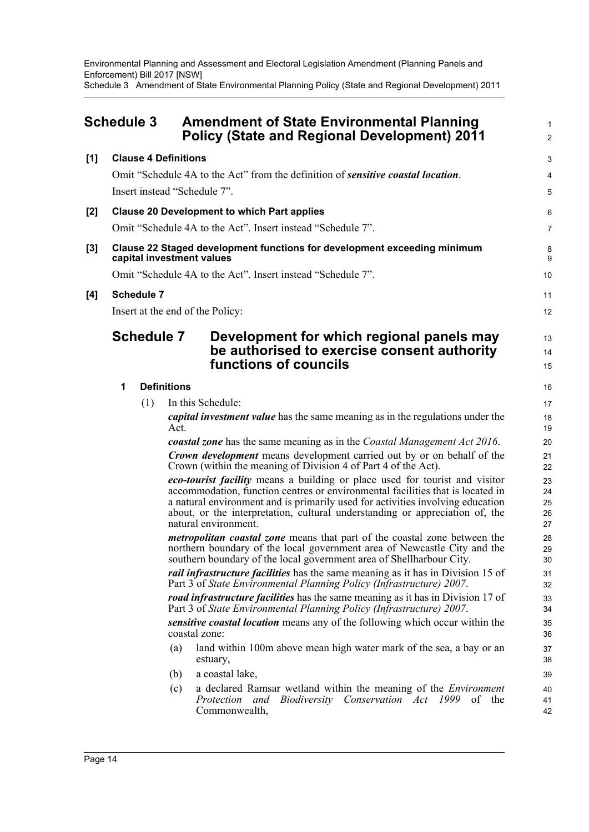Environmental Planning and Assessment and Electoral Legislation Amendment (Planning Panels and Enforcement) Bill 2017 [NSW] Schedule 3 Amendment of State Environmental Planning Policy (State and Regional Development) 2011

<span id="page-16-0"></span>

| <b>Schedule 3</b> |                             | <b>Amendment of State Environmental Planning</b><br><b>Policy (State and Regional Development) 2011</b>                                                                                                                                                                                                                                                 | $\mathbf{1}$<br>$\overline{c}$ |
|-------------------|-----------------------------|---------------------------------------------------------------------------------------------------------------------------------------------------------------------------------------------------------------------------------------------------------------------------------------------------------------------------------------------------------|--------------------------------|
| [1]               | <b>Clause 4 Definitions</b> |                                                                                                                                                                                                                                                                                                                                                         | 3                              |
|                   |                             | Omit "Schedule 4A to the Act" from the definition of <i>sensitive coastal location</i> .                                                                                                                                                                                                                                                                | 4                              |
|                   |                             | Insert instead "Schedule 7".                                                                                                                                                                                                                                                                                                                            | $\overline{5}$                 |
| [2]               |                             | <b>Clause 20 Development to which Part applies</b>                                                                                                                                                                                                                                                                                                      | 6                              |
|                   |                             | Omit "Schedule 4A to the Act". Insert instead "Schedule 7".                                                                                                                                                                                                                                                                                             | $\overline{7}$                 |
| [3]               |                             | <b>Clause 22 Staged development functions for development exceeding minimum</b><br>capital investment values                                                                                                                                                                                                                                            | 8<br>9                         |
|                   |                             | Omit "Schedule 4A to the Act". Insert instead "Schedule 7".                                                                                                                                                                                                                                                                                             | 10                             |
| [4]               | <b>Schedule 7</b>           |                                                                                                                                                                                                                                                                                                                                                         | 11                             |
|                   |                             | Insert at the end of the Policy:                                                                                                                                                                                                                                                                                                                        | 12                             |
|                   | <b>Schedule 7</b>           | Development for which regional panels may<br>be authorised to exercise consent authority<br>functions of councils                                                                                                                                                                                                                                       | 13<br>14<br>15                 |
|                   | 1                           | <b>Definitions</b>                                                                                                                                                                                                                                                                                                                                      | 16                             |
|                   | (1)                         | In this Schedule:                                                                                                                                                                                                                                                                                                                                       | 17                             |
|                   |                             | <i>capital investment value</i> has the same meaning as in the regulations under the<br>Act.                                                                                                                                                                                                                                                            | 18<br>19                       |
|                   |                             | coastal zone has the same meaning as in the Coastal Management Act 2016.                                                                                                                                                                                                                                                                                | 20                             |
|                   |                             | <b>Crown development</b> means development carried out by or on behalf of the<br>Crown (within the meaning of Division 4 of Part 4 of the Act).                                                                                                                                                                                                         | 21<br>22                       |
|                   |                             | eco-tourist facility means a building or place used for tourist and visitor<br>accommodation, function centres or environmental facilities that is located in<br>a natural environment and is primarily used for activities involving education<br>about, or the interpretation, cultural understanding or appreciation of, the<br>natural environment. | 23<br>24<br>25<br>26<br>27     |
|                   |                             | <i>metropolitan coastal zone</i> means that part of the coastal zone between the<br>northern boundary of the local government area of Newcastle City and the<br>southern boundary of the local government area of Shellharbour City.                                                                                                                    | 28<br>29<br>30                 |
|                   |                             | <i>rail infrastructure facilities</i> has the same meaning as it has in Division 15 of<br>Part 3 of State Environmental Planning Policy (Infrastructure) 2007.                                                                                                                                                                                          | 31<br>32                       |
|                   |                             | <i>road infrastructure facilities</i> has the same meaning as it has in Division 17 of<br>Part 3 of State Environmental Planning Policy (Infrastructure) 2007.                                                                                                                                                                                          | 33<br>34                       |
|                   |                             | sensitive coastal location means any of the following which occur within the<br>coastal zone:                                                                                                                                                                                                                                                           | 35<br>36                       |
|                   |                             | land within 100m above mean high water mark of the sea, a bay or an<br>(a)<br>estuary,                                                                                                                                                                                                                                                                  | 37<br>38                       |
|                   |                             | a coastal lake,<br>(b)                                                                                                                                                                                                                                                                                                                                  | 39                             |
|                   |                             | a declared Ramsar wetland within the meaning of the <i>Environment</i><br>(c)<br>Biodiversity Conservation Act 1999<br>of the<br>Protection<br>and<br>Commonwealth,                                                                                                                                                                                     | 40<br>41<br>42                 |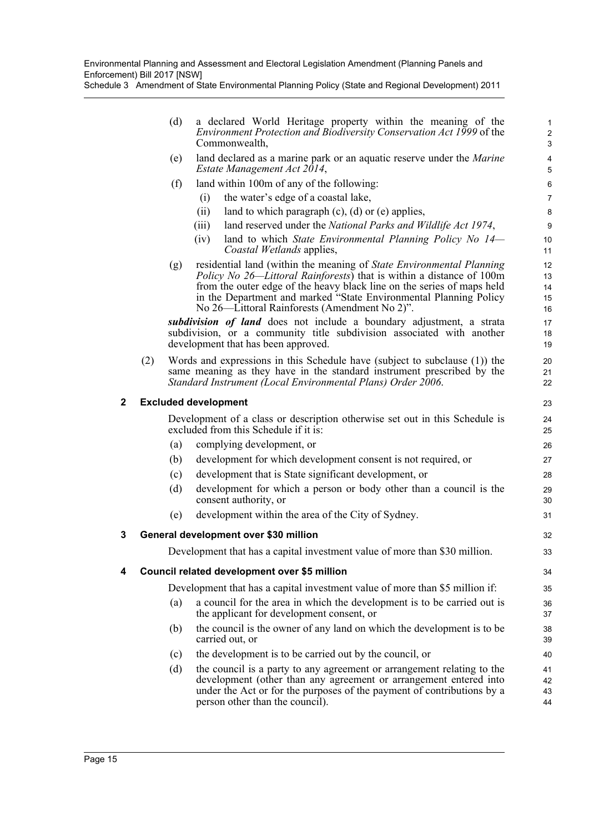Environmental Planning and Assessment and Electoral Legislation Amendment (Planning Panels and Enforcement) Bill 2017 [NSW]

Schedule 3 Amendment of State Environmental Planning Policy (State and Regional Development) 2011

|   |     | (d) | a declared World Heritage property within the meaning of the<br>Environment Protection and Biodiversity Conservation Act 1999 of the<br>Commonwealth,                                                                                                                                                                                                | $\mathbf{1}$<br>$\overline{c}$<br>3 |
|---|-----|-----|------------------------------------------------------------------------------------------------------------------------------------------------------------------------------------------------------------------------------------------------------------------------------------------------------------------------------------------------------|-------------------------------------|
|   |     | (e) | land declared as a marine park or an aquatic reserve under the <i>Marine</i><br>Estate Management Act 2014,                                                                                                                                                                                                                                          | $\overline{\mathbf{4}}$<br>5        |
|   |     | (f) | land within 100m of any of the following:                                                                                                                                                                                                                                                                                                            | 6                                   |
|   |     |     | the water's edge of a coastal lake,<br>(i)                                                                                                                                                                                                                                                                                                           | $\overline{7}$                      |
|   |     |     | land to which paragraph $(c)$ , $(d)$ or $(e)$ applies,<br>(ii)                                                                                                                                                                                                                                                                                      | $\bf 8$                             |
|   |     |     | land reserved under the National Parks and Wildlife Act 1974,<br>(iii)                                                                                                                                                                                                                                                                               | $\boldsymbol{9}$                    |
|   |     |     | (iv)<br>land to which State Environmental Planning Policy No $14-$<br><i>Coastal Wetlands applies,</i>                                                                                                                                                                                                                                               | 10<br>11                            |
|   |     | (g) | residential land (within the meaning of State Environmental Planning<br><i>Policy No 26—Littoral Rainforests</i> ) that is within a distance of 100m<br>from the outer edge of the heavy black line on the series of maps held<br>in the Department and marked "State Environmental Planning Policy<br>No 26—Littoral Rainforests (Amendment No 2)". | 12<br>13<br>14<br>15<br>16          |
|   |     |     | subdivision of land does not include a boundary adjustment, a strata<br>subdivision, or a community title subdivision associated with another<br>development that has been approved.                                                                                                                                                                 | 17<br>18<br>19                      |
|   | (2) |     | Words and expressions in this Schedule have (subject to subclause (1)) the<br>same meaning as they have in the standard instrument prescribed by the<br>Standard Instrument (Local Environmental Plans) Order 2006.                                                                                                                                  | 20<br>21<br>22                      |
| 2 |     |     | <b>Excluded development</b>                                                                                                                                                                                                                                                                                                                          | 23                                  |
|   |     |     | Development of a class or description otherwise set out in this Schedule is<br>excluded from this Schedule if it is:                                                                                                                                                                                                                                 | 24<br>25                            |
|   |     | (a) | complying development, or                                                                                                                                                                                                                                                                                                                            | 26                                  |
|   |     | (b) | development for which development consent is not required, or                                                                                                                                                                                                                                                                                        | 27                                  |
|   |     | (c) | development that is State significant development, or                                                                                                                                                                                                                                                                                                | 28                                  |
|   |     | (d) | development for which a person or body other than a council is the<br>consent authority, or                                                                                                                                                                                                                                                          | 29<br>30                            |
|   |     | (e) | development within the area of the City of Sydney.                                                                                                                                                                                                                                                                                                   | 31                                  |
| 3 |     |     | General development over \$30 million                                                                                                                                                                                                                                                                                                                | 32                                  |
|   |     |     | Development that has a capital investment value of more than \$30 million.                                                                                                                                                                                                                                                                           | 33                                  |
| 4 |     |     | Council related development over \$5 million                                                                                                                                                                                                                                                                                                         | 34                                  |
|   |     |     | Development that has a capital investment value of more than \$5 million if:                                                                                                                                                                                                                                                                         | 35                                  |
|   |     | (a) | a council for the area in which the development is to be carried out is<br>the applicant for development consent, or                                                                                                                                                                                                                                 | 36<br>37                            |
|   |     | (b) | the council is the owner of any land on which the development is to be<br>carried out, or                                                                                                                                                                                                                                                            | 38<br>39                            |
|   |     | (c) | the development is to be carried out by the council, or                                                                                                                                                                                                                                                                                              | 40                                  |
|   |     | (d) | the council is a party to any agreement or arrangement relating to the<br>development (other than any agreement or arrangement entered into<br>under the Act or for the purposes of the payment of contributions by a<br>person other than the council).                                                                                             | 41<br>42<br>43<br>44                |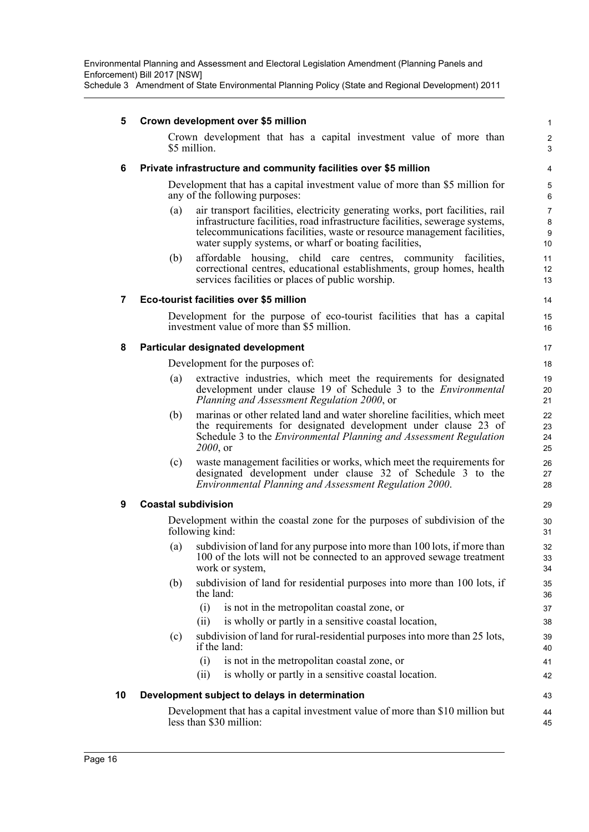| 5  |                            | Crown development over \$5 million                                                                                                                                                                                                                                                                | 1                              |
|----|----------------------------|---------------------------------------------------------------------------------------------------------------------------------------------------------------------------------------------------------------------------------------------------------------------------------------------------|--------------------------------|
|    |                            | Crown development that has a capital investment value of more than<br>\$5 million.                                                                                                                                                                                                                | $\overline{2}$<br>3            |
| 6  |                            | Private infrastructure and community facilities over \$5 million                                                                                                                                                                                                                                  | 4                              |
|    |                            | Development that has a capital investment value of more than \$5 million for<br>any of the following purposes:                                                                                                                                                                                    | 5<br>6                         |
|    | (a)                        | air transport facilities, electricity generating works, port facilities, rail<br>infrastructure facilities, road infrastructure facilities, sewerage systems,<br>telecommunications facilities, waste or resource management facilities,<br>water supply systems, or wharf or boating facilities, | $\overline{7}$<br>8<br>9<br>10 |
|    | (b)                        | affordable housing, child care centres, community facilities,<br>correctional centres, educational establishments, group homes, health<br>services facilities or places of public worship.                                                                                                        | 11<br>12<br>13                 |
| 7  |                            | Eco-tourist facilities over \$5 million                                                                                                                                                                                                                                                           | 14                             |
|    |                            | Development for the purpose of eco-tourist facilities that has a capital<br>investment value of more than \$5 million.                                                                                                                                                                            | 15<br>16                       |
| 8  |                            | Particular designated development                                                                                                                                                                                                                                                                 | 17                             |
|    |                            | Development for the purposes of:                                                                                                                                                                                                                                                                  | 18                             |
|    | (a)                        | extractive industries, which meet the requirements for designated<br>development under clause 19 of Schedule 3 to the <i>Environmental</i><br>Planning and Assessment Regulation 2000, or                                                                                                         | 19<br>20<br>21                 |
|    | (b)                        | marinas or other related land and water shoreline facilities, which meet<br>the requirements for designated development under clause 23 of<br>Schedule 3 to the <i>Environmental Planning and Assessment Regulation</i><br>2000, or                                                               | 22<br>23<br>24<br>25           |
|    | (c)                        | waste management facilities or works, which meet the requirements for<br>designated development under clause 32 of Schedule 3 to the<br>Environmental Planning and Assessment Regulation 2000.                                                                                                    | 26<br>27<br>28                 |
| 9  | <b>Coastal subdivision</b> |                                                                                                                                                                                                                                                                                                   | 29                             |
|    |                            | Development within the coastal zone for the purposes of subdivision of the<br>following kind:                                                                                                                                                                                                     | 30<br>31                       |
|    | (a)                        | subdivision of land for any purpose into more than 100 lots, if more than<br>100 of the lots will not be connected to an approved sewage treatment<br>work or system,                                                                                                                             | 32<br>33<br>34                 |
|    | (b)                        | subdivision of land for residential purposes into more than 100 lots, if<br>the land:                                                                                                                                                                                                             | 35<br>36                       |
|    |                            | (i)<br>is not in the metropolitan coastal zone, or                                                                                                                                                                                                                                                | 37                             |
|    |                            | is wholly or partly in a sensitive coastal location,<br>(ii)                                                                                                                                                                                                                                      | 38                             |
|    | (c)                        | subdivision of land for rural-residential purposes into more than 25 lots,<br>if the land:                                                                                                                                                                                                        | 39<br>40                       |
|    |                            | is not in the metropolitan coastal zone, or<br>(i)                                                                                                                                                                                                                                                | 41                             |
|    |                            | is wholly or partly in a sensitive coastal location.<br>(ii)                                                                                                                                                                                                                                      | 42                             |
| 10 |                            | Development subject to delays in determination                                                                                                                                                                                                                                                    | 43                             |
|    |                            | Development that has a capital investment value of more than \$10 million but<br>less than \$30 million:                                                                                                                                                                                          | 44<br>45                       |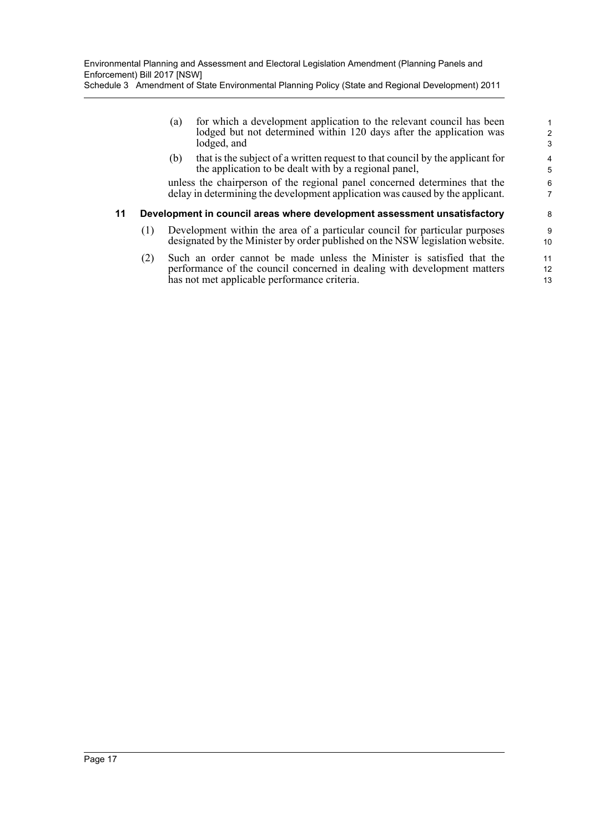| Schedule 3 Amendment of State Environmental Planning Policy (State and Regional Development) 2011 |  |
|---------------------------------------------------------------------------------------------------|--|
|---------------------------------------------------------------------------------------------------|--|

(a) for which a development application to the relevant council has been lodged but not determined within 120 days after the application was lodged, and

(b) that is the subject of a written request to that council by the applicant for the application to be dealt with by a regional panel,

unless the chairperson of the regional panel concerned determines that the delay in determining the development application was caused by the applicant.

#### **11 Development in council areas where development assessment unsatisfactory**

- (1) Development within the area of a particular council for particular purposes designated by the Minister by order published on the NSW legislation website.
- (2) Such an order cannot be made unless the Minister is satisfied that the performance of the council concerned in dealing with development matters has not met applicable performance criteria.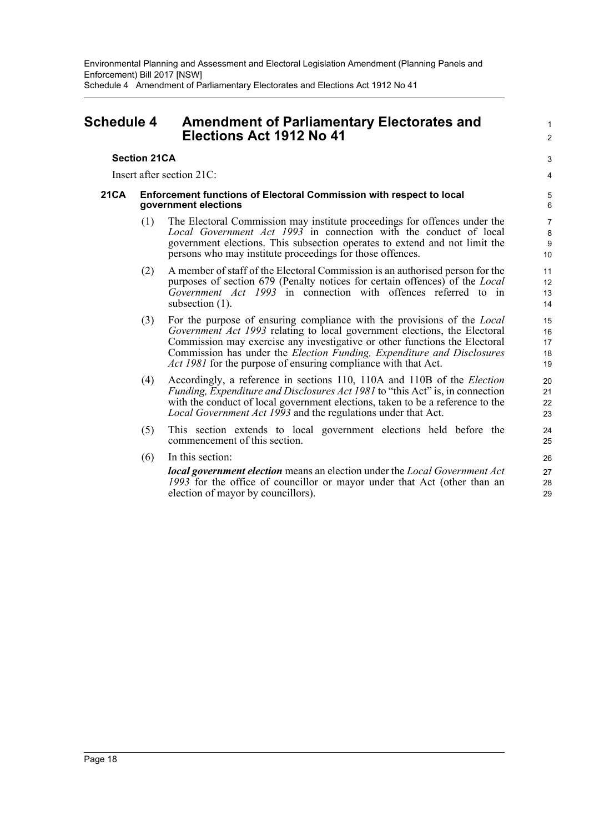## <span id="page-20-0"></span>**Schedule 4 Amendment of Parliamentary Electorates and Elections Act 1912 No 41**

### **Section 21CA**

Insert after section 21C:

#### **21CA Enforcement functions of Electoral Commission with respect to local government elections**

(1) The Electoral Commission may institute proceedings for offences under the *Local Government Act 1993* in connection with the conduct of local government elections. This subsection operates to extend and not limit the persons who may institute proceedings for those offences.

1  $\mathfrak{p}$ 

3 4

- (2) A member of staff of the Electoral Commission is an authorised person for the purposes of section 679 (Penalty notices for certain offences) of the *Local Government Act 1993* in connection with offences referred to in subsection  $(1)$ .
- (3) For the purpose of ensuring compliance with the provisions of the *Local Government Act 1993* relating to local government elections, the Electoral Commission may exercise any investigative or other functions the Electoral Commission has under the *Election Funding, Expenditure and Disclosures Act 1981* for the purpose of ensuring compliance with that Act.
- (4) Accordingly, a reference in sections 110, 110A and 110B of the *Election Funding, Expenditure and Disclosures Act 1981* to "this Act" is, in connection with the conduct of local government elections, taken to be a reference to the *Local Government Act 1993* and the regulations under that Act.
- (5) This section extends to local government elections held before the commencement of this section.
- (6) In this section:

*local government election* means an election under the *Local Government Act 1993* for the office of councillor or mayor under that Act (other than an election of mayor by councillors).